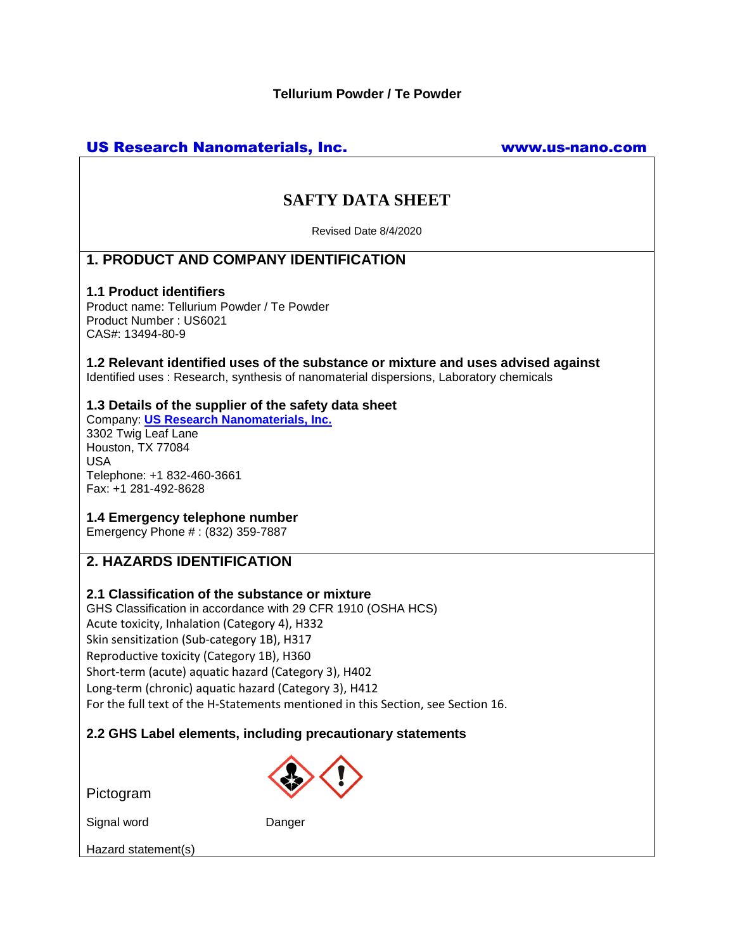## US Research Nanomaterials, Inc. www.us-nano.com

# **SAFTY DATA SHEET**

Revised Date 8/4/2020

## **1. PRODUCT AND COMPANY IDENTIFICATION**

#### **1.1 Product identifiers**

Product name: Tellurium Powder / Te Powder Product Number : US6021 CAS#: 13494-80-9

**1.2 Relevant identified uses of the substance or mixture and uses advised against** Identified uses : Research, synthesis of nanomaterial dispersions, Laboratory chemicals

### **1.3 Details of the supplier of the safety data sheet**

Company: **[US Research Nanomaterials, Inc.](http://www.us-nano.com/)** 3302 Twig Leaf Lane Houston, TX 77084 USA Telephone: +1 832-460-3661 Fax: +1 281-492-8628

## **1.4 Emergency telephone number**

Emergency Phone # : (832) 359-7887

## **2. HAZARDS IDENTIFICATION**

## **2.1 Classification of the substance or mixture**

GHS Classification in accordance with 29 CFR 1910 (OSHA HCS) Acute toxicity, Inhalation (Category 4), H332 Skin sensitization (Sub-category 1B), H317 Reproductive toxicity (Category 1B), H360 Short-term (acute) aquatic hazard (Category 3), H402 Long-term (chronic) aquatic hazard (Category 3), H412 For the full text of the H-Statements mentioned in this Section, see Section 16.

## **2.2 GHS Label elements, including precautionary statements**

Pictogram

Signal word Danger

Hazard statement(s)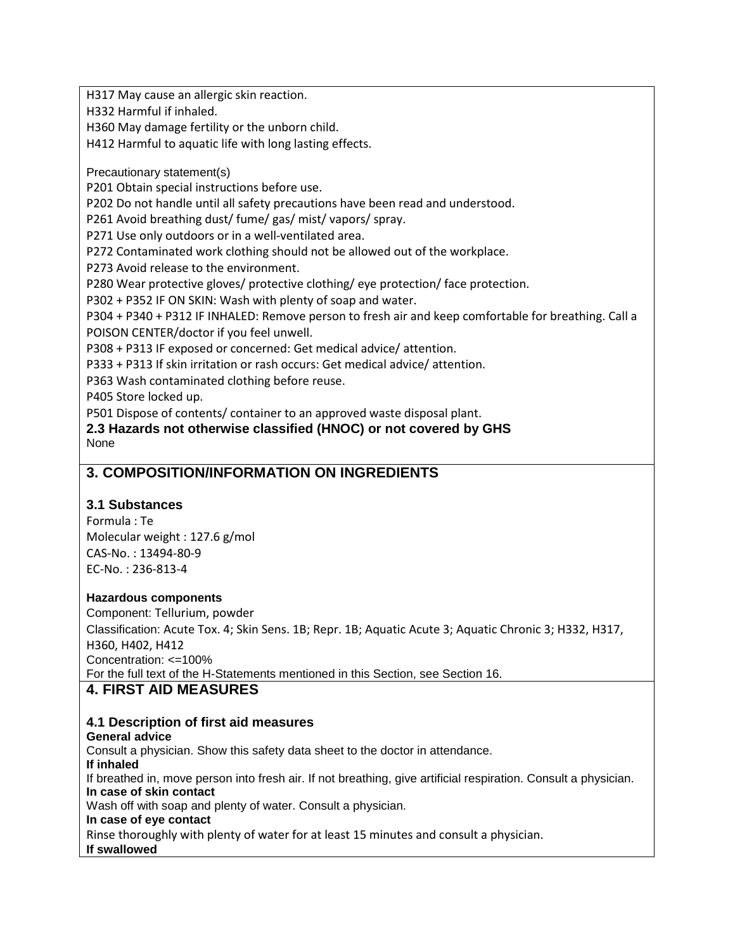H317 May cause an allergic skin reaction.

H332 Harmful if inhaled.

H360 May damage fertility or the unborn child.

H412 Harmful to aquatic life with long lasting effects.

Precautionary statement(s)

P201 Obtain special instructions before use.

P202 Do not handle until all safety precautions have been read and understood.

P261 Avoid breathing dust/ fume/ gas/ mist/ vapors/ spray.

P271 Use only outdoors or in a well-ventilated area.

P272 Contaminated work clothing should not be allowed out of the workplace.

P273 Avoid release to the environment.

P280 Wear protective gloves/ protective clothing/ eye protection/ face protection.

P302 + P352 IF ON SKIN: Wash with plenty of soap and water.

P304 + P340 + P312 IF INHALED: Remove person to fresh air and keep comfortable for breathing. Call a POISON CENTER/doctor if you feel unwell.

P308 + P313 IF exposed or concerned: Get medical advice/ attention.

P333 + P313 If skin irritation or rash occurs: Get medical advice/ attention.

P363 Wash contaminated clothing before reuse.

P405 Store locked up.

P501 Dispose of contents/ container to an approved waste disposal plant.

**2.3 Hazards not otherwise classified (HNOC) or not covered by GHS** None

## **3. COMPOSITION/INFORMATION ON INGREDIENTS**

## **3.1 Substances**

Formula : Te Molecular weight : 127.6 g/mol CAS-No. : 13494-80-9 EC-No. : 236-813-4

#### **Hazardous components**

Component: Tellurium, powder Classification: Acute Tox. 4; Skin Sens. 1B; Repr. 1B; Aquatic Acute 3; Aquatic Chronic 3; H332, H317, H360, H402, H412 Concentration: <=100% For the full text of the H-Statements mentioned in this Section, see Section 16.

## **4. FIRST AID MEASURES**

## **4.1 Description of first aid measures**

#### **General advice**

Consult a physician. Show this safety data sheet to the doctor in attendance. **If inhaled** If breathed in, move person into fresh air. If not breathing, give artificial respiration. Consult a physician. **In case of skin contact** Wash off with soap and plenty of water. Consult a physician. **In case of eye contact** Rinse thoroughly with plenty of water for at least 15 minutes and consult a physician. **If swallowed**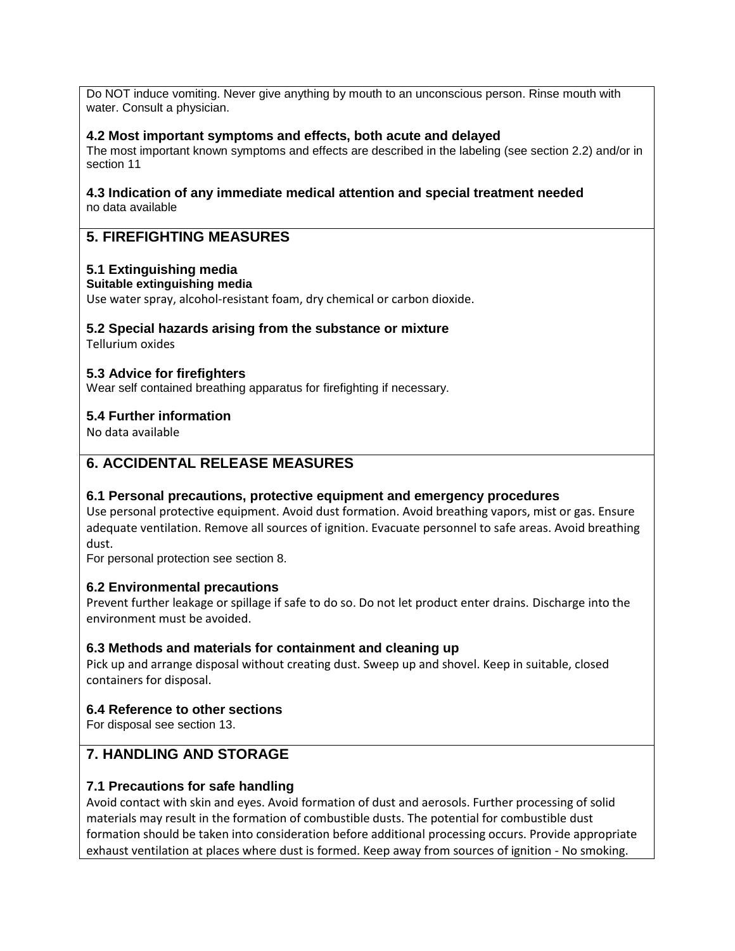Do NOT induce vomiting. Never give anything by mouth to an unconscious person. Rinse mouth with water. Consult a physician.

## **4.2 Most important symptoms and effects, both acute and delayed**

The most important known symptoms and effects are described in the labeling (see section 2.2) and/or in section 11

#### **4.3 Indication of any immediate medical attention and special treatment needed** no data available

## **5. FIREFIGHTING MEASURES**

### **5.1 Extinguishing media**

#### **Suitable extinguishing media**

Use water spray, alcohol-resistant foam, dry chemical or carbon dioxide.

## **5.2 Special hazards arising from the substance or mixture**

Tellurium oxides

### **5.3 Advice for firefighters**

Wear self contained breathing apparatus for firefighting if necessary.

### **5.4 Further information**

No data available

## **6. ACCIDENTAL RELEASE MEASURES**

#### **6.1 Personal precautions, protective equipment and emergency procedures**

Use personal protective equipment. Avoid dust formation. Avoid breathing vapors, mist or gas. Ensure adequate ventilation. Remove all sources of ignition. Evacuate personnel to safe areas. Avoid breathing dust.

For personal protection see section 8.

## **6.2 Environmental precautions**

Prevent further leakage or spillage if safe to do so. Do not let product enter drains. Discharge into the environment must be avoided.

## **6.3 Methods and materials for containment and cleaning up**

Pick up and arrange disposal without creating dust. Sweep up and shovel. Keep in suitable, closed containers for disposal.

#### **6.4 Reference to other sections**

For disposal see section 13.

## **7. HANDLING AND STORAGE**

## **7.1 Precautions for safe handling**

Avoid contact with skin and eyes. Avoid formation of dust and aerosols. Further processing of solid materials may result in the formation of combustible dusts. The potential for combustible dust formation should be taken into consideration before additional processing occurs. Provide appropriate exhaust ventilation at places where dust is formed. Keep away from sources of ignition - No smoking.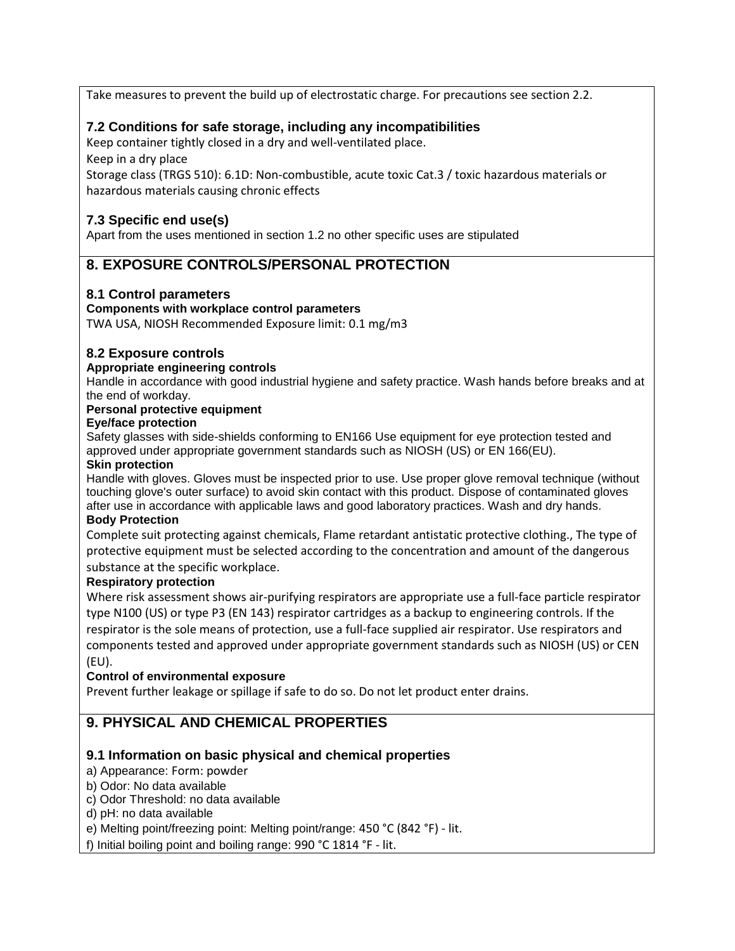Take measures to prevent the build up of electrostatic charge. For precautions see section 2.2.

## **7.2 Conditions for safe storage, including any incompatibilities**

Keep container tightly closed in a dry and well-ventilated place.

Keep in a dry place

Storage class (TRGS 510): 6.1D: Non-combustible, acute toxic Cat.3 / toxic hazardous materials or hazardous materials causing chronic effects

## **7.3 Specific end use(s)**

Apart from the uses mentioned in section 1.2 no other specific uses are stipulated

## **8. EXPOSURE CONTROLS/PERSONAL PROTECTION**

## **8.1 Control parameters**

### **Components with workplace control parameters**

TWA USA, NIOSH Recommended Exposure limit: 0.1 mg/m3

## **8.2 Exposure controls**

### **Appropriate engineering controls**

Handle in accordance with good industrial hygiene and safety practice. Wash hands before breaks and at the end of workday.

#### **Personal protective equipment**

#### **Eye/face protection**

Safety glasses with side-shields conforming to EN166 Use equipment for eye protection tested and approved under appropriate government standards such as NIOSH (US) or EN 166(EU).

#### **Skin protection**

Handle with gloves. Gloves must be inspected prior to use. Use proper glove removal technique (without touching glove's outer surface) to avoid skin contact with this product. Dispose of contaminated gloves after use in accordance with applicable laws and good laboratory practices. Wash and dry hands.

#### **Body Protection**

Complete suit protecting against chemicals, Flame retardant antistatic protective clothing., The type of protective equipment must be selected according to the concentration and amount of the dangerous substance at the specific workplace.

#### **Respiratory protection**

Where risk assessment shows air-purifying respirators are appropriate use a full-face particle respirator type N100 (US) or type P3 (EN 143) respirator cartridges as a backup to engineering controls. If the respirator is the sole means of protection, use a full-face supplied air respirator. Use respirators and components tested and approved under appropriate government standards such as NIOSH (US) or CEN (EU).

#### **Control of environmental exposure**

Prevent further leakage or spillage if safe to do so. Do not let product enter drains.

## **9. PHYSICAL AND CHEMICAL PROPERTIES**

## **9.1 Information on basic physical and chemical properties**

a) Appearance: Form: powder

#### b) Odor: No data available

- c) Odor Threshold: no data available
- d) pH: no data available
- e) Melting point/freezing point: Melting point/range: 450 °C (842 °F) lit.

f) Initial boiling point and boiling range: 990 °C 1814 °F - lit.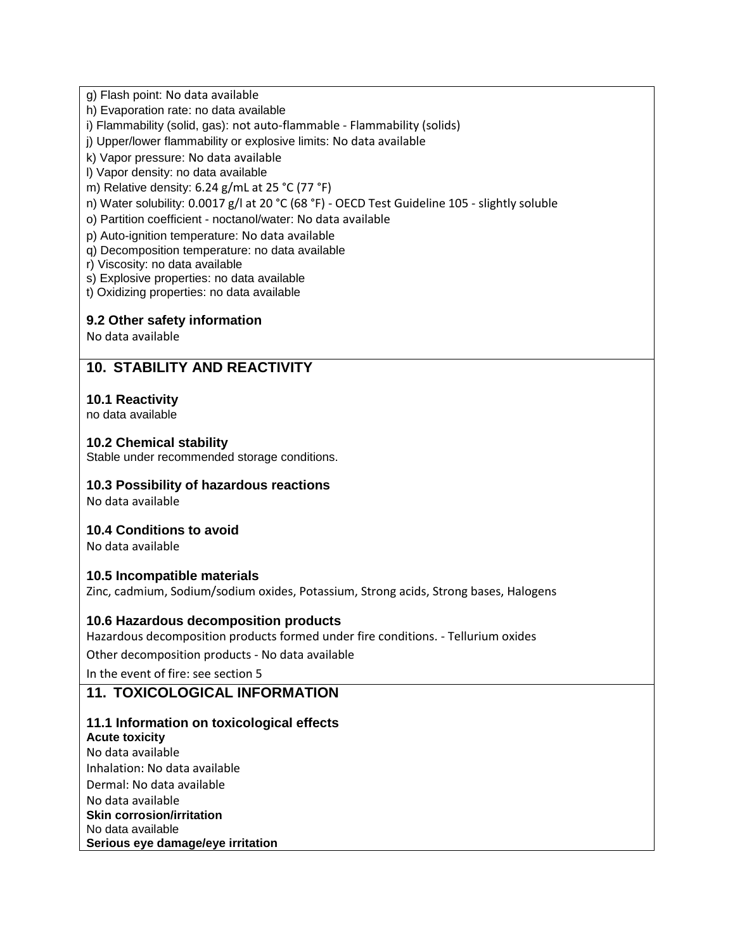g) Flash point: No data available

h) Evaporation rate: no data available

i) Flammability (solid, gas): not auto-flammable - Flammability (solids)

j) Upper/lower flammability or explosive limits: No data available

k) Vapor pressure: No data available

l) Vapor density: no data available

m) Relative density: 6.24 g/mL at 25 °C (77 °F)

n) Water solubility: 0.0017 g/l at 20 °C (68 °F) - OECD Test Guideline 105 - slightly soluble

o) Partition coefficient - noctanol/water: No data available

p) Auto-ignition temperature: No data available

q) Decomposition temperature: no data available

r) Viscosity: no data available

s) Explosive properties: no data available

t) Oxidizing properties: no data available

## **9.2 Other safety information**

No data available

## **10. STABILITY AND REACTIVITY**

## **10.1 Reactivity**

no data available

## **10.2 Chemical stability**

Stable under recommended storage conditions.

## **10.3 Possibility of hazardous reactions**

No data available

## **10.4 Conditions to avoid**

No data available

## **10.5 Incompatible materials**

Zinc, cadmium, Sodium/sodium oxides, Potassium, Strong acids, Strong bases, Halogens

## **10.6 Hazardous decomposition products**

Hazardous decomposition products formed under fire conditions. - Tellurium oxides

Other decomposition products - No data available

In the event of fire: see section 5

## **11. TOXICOLOGICAL INFORMATION**

#### **11.1 Information on toxicological effects Acute toxicity**

No data available Inhalation: No data available Dermal: No data available No data available **Skin corrosion/irritation** No data available **Serious eye damage/eye irritation**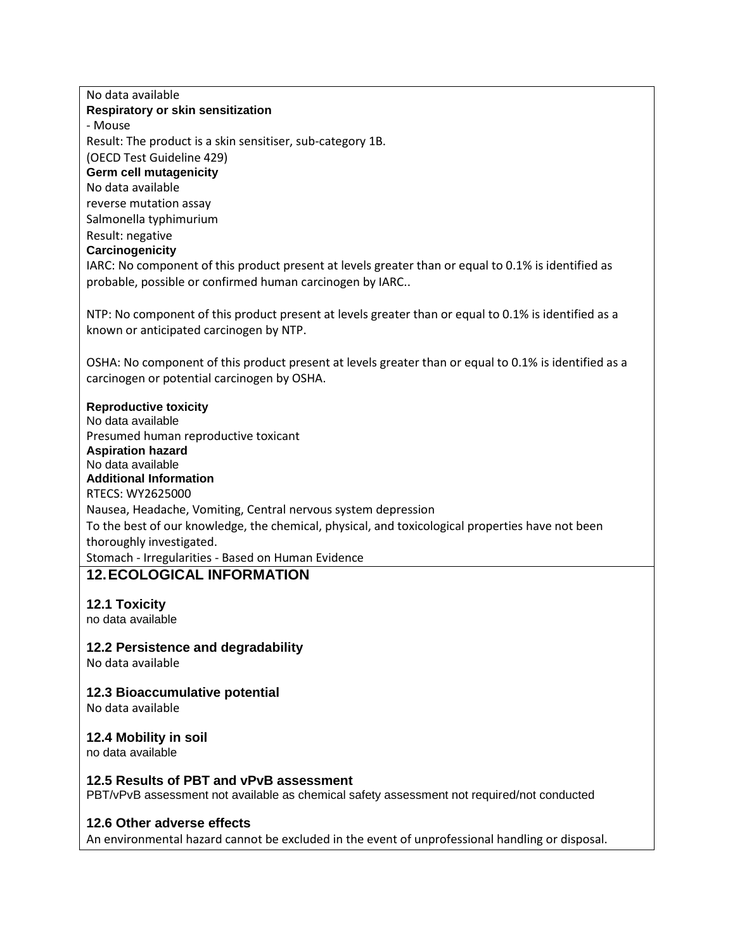No data available **Respiratory or skin sensitization** - Mouse Result: The product is a skin sensitiser, sub-category 1B. (OECD Test Guideline 429) **Germ cell mutagenicity** No data available reverse mutation assay Salmonella typhimurium Result: negative **Carcinogenicity** IARC: No component of this product present at levels greater than or equal to 0.1% is identified as probable, possible or confirmed human carcinogen by IARC.. NTP: No component of this product present at levels greater than or equal to 0.1% is identified as a known or anticipated carcinogen by NTP. OSHA: No component of this product present at levels greater than or equal to 0.1% is identified as a carcinogen or potential carcinogen by OSHA. **Reproductive toxicity** No data available Presumed human reproductive toxicant **Aspiration hazard** No data available **Additional Information** RTECS: WY2625000 Nausea, Headache, Vomiting, Central nervous system depression To the best of our knowledge, the chemical, physical, and toxicological properties have not been thoroughly investigated. Stomach - Irregularities - Based on Human Evidence **12.ECOLOGICAL INFORMATION 12.1 Toxicity** no data available **12.2 Persistence and degradability** No data available **12.3 Bioaccumulative potential** No data available **12.4 Mobility in soil** no data available **12.5 Results of PBT and vPvB assessment** PBT/vPvB assessment not available as chemical safety assessment not required/not conducted **12.6 Other adverse effects** An environmental hazard cannot be excluded in the event of unprofessional handling or disposal.